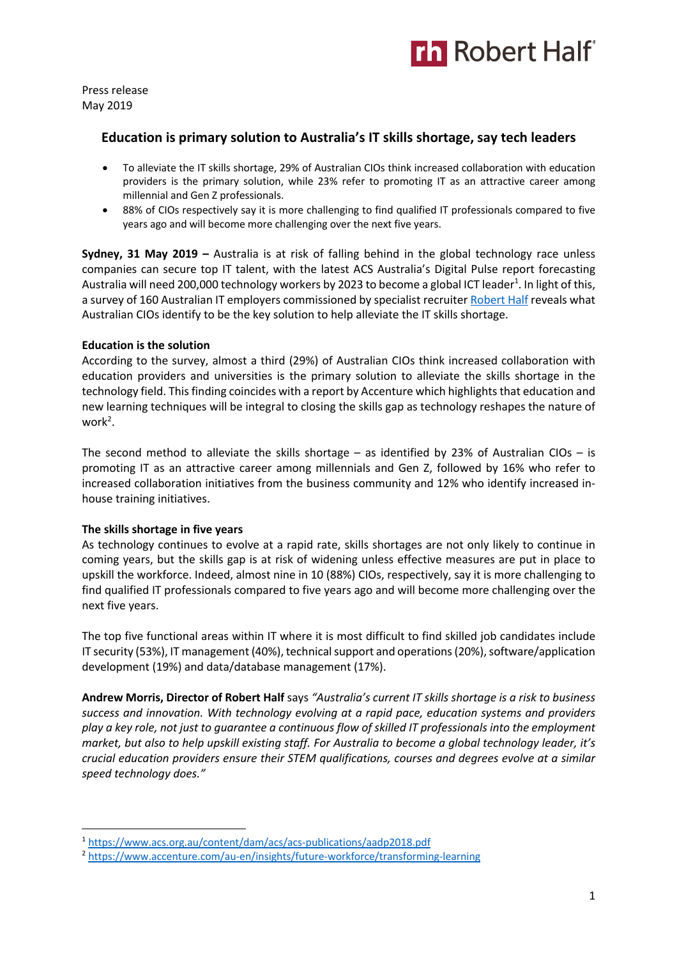

Press release May 2019

## **Education is primary solution to Australia's IT skills shortage, say tech leaders**

- To alleviate the IT skills shortage, 29% of Australian CIOs think increased collaboration with education providers is the primary solution, while 23% refer to promoting IT as an attractive career among millennial and Gen Z professionals.
- 88% of CIOs respectively say it is more challenging to find qualified IT professionals compared to five years ago and will become more challenging over the next five years.

**Sydney, 31 May 2019 –** Australia is at risk of falling behind in the global technology race unless companies can secure top IT talent, with the latest ACS Australia's Digital Pulse report forecasting Australia will need 200,000 technology workers by 2023 to become a global ICT leader<sup>1</sup>. In light of this, a survey of 160 Australian IT employers commissioned by specialist recruiter Robert Half reveals what Australian CIOs identify to be the key solution to help alleviate the IT skills shortage.

### **Education is the solution**

According to the survey, almost a third (29%) of Australian CIOs think increased collaboration with education providers and universities is the primary solution to alleviate the skills shortage in the technology field. This finding coincides with a report by Accenture which highlights that education and new learning techniques will be integral to closing the skills gap as technology reshapes the nature of work<sup>2</sup>.

The second method to alleviate the skills shortage – as identified by 23% of Australian CIOs – is promoting IT as an attractive career among millennials and Gen Z, followed by 16% who refer to increased collaboration initiatives from the business community and 12% who identify increased inhouse training initiatives.

### **The skills shortage in five years**

As technology continues to evolve at a rapid rate, skills shortages are not only likely to continue in coming years, but the skills gap is at risk of widening unless effective measures are put in place to upskill the workforce. Indeed, almost nine in 10 (88%) CIOs, respectively, say it is more challenging to find qualified IT professionals compared to five years ago and will become more challenging over the next five years.

The top five functional areas within IT where it is most difficult to find skilled job candidates include IT security (53%), IT management (40%), technical support and operations (20%), software/application development (19%) and data/database management (17%).

**Andrew Morris, Director of Robert Half** says *"Australia's current IT skills shortage is a risk to business success and innovation. With technology evolving at a rapid pace, education systems and providers play a key role, not just to guarantee a continuous flow of skilled IT professionals into the employment market, but also to help upskill existing staff. For Australia to become a global technology leader, it's crucial education providers ensure their STEM qualifications, courses and degrees evolve at a similar speed technology does."*

 <sup>1</sup> https://www.acs.org.au/content/dam/acs/acs-publications/aadp2018.pdf

<sup>2</sup> https://www.accenture.com/au-en/insights/future-workforce/transforming-learning